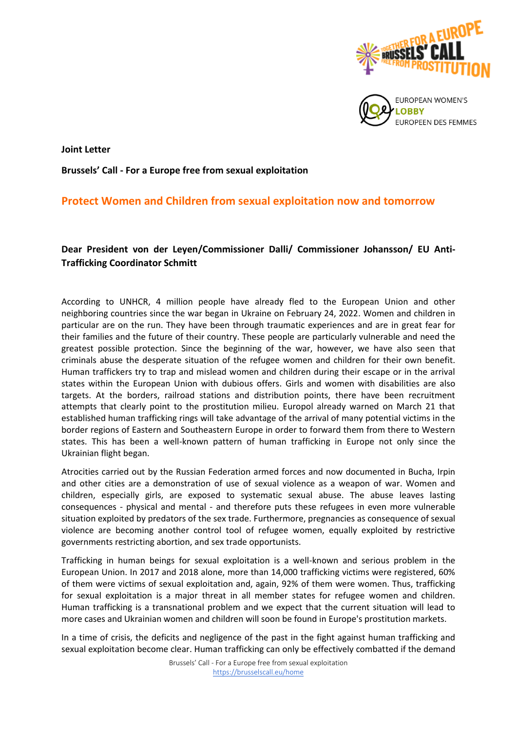

**Joint Letter** 

**Brussels' Call - For a Europe free from sexual exploitation**

## **Protect Women and Children from sexual exploitation now and tomorrow**

## **Dear President von der Leyen/Commissioner Dalli/ Commissioner Johansson/ EU Anti-Trafficking Coordinator Schmitt**

According to UNHCR, 4 million people have already fled to the European Union and other neighboring countries since the war began in Ukraine on February 24, 2022. Women and children in particular are on the run. They have been through traumatic experiences and are in great fear for their families and the future of their country. These people are particularly vulnerable and need the greatest possible protection. Since the beginning of the war, however, we have also seen that criminals abuse the desperate situation of the refugee women and children for their own benefit. Human traffickers try to trap and mislead women and children during their escape or in the arrival states within the European Union with dubious offers. Girls and women with disabilities are also targets. At the borders, railroad stations and distribution points, there have been recruitment attempts that clearly point to the prostitution milieu. Europol already warned on March 21 that established human trafficking rings will take advantage of the arrival of many potential victims in the border regions of Eastern and Southeastern Europe in order to forward them from there to Western states. This has been a well-known pattern of human trafficking in Europe not only since the Ukrainian flight began.

Atrocities carried out by the Russian Federation armed forces and now documented in Bucha, Irpin and other cities are a demonstration of use of sexual violence as a weapon of war. Women and children, especially girls, are exposed to systematic sexual abuse. The abuse leaves lasting consequences - physical and mental - and therefore puts these refugees in even more vulnerable situation exploited by predators of the sex trade. Furthermore, pregnancies as consequence of sexual violence are becoming another control tool of refugee women, equally exploited by restrictive governments restricting abortion, and sex trade opportunists.

Trafficking in human beings for sexual exploitation is a well-known and serious problem in the European Union. In 2017 and 2018 alone, more than 14,000 trafficking victims were registered, 60% of them were victims of sexual exploitation and, again, 92% of them were women. Thus, trafficking for sexual exploitation is a major threat in all member states for refugee women and children. Human trafficking is a transnational problem and we expect that the current situation will lead to more cases and Ukrainian women and children will soon be found in Europe's prostitution markets.

In a time of crisis, the deficits and negligence of the past in the fight against human trafficking and sexual exploitation become clear. Human trafficking can only be effectively combatted if the demand